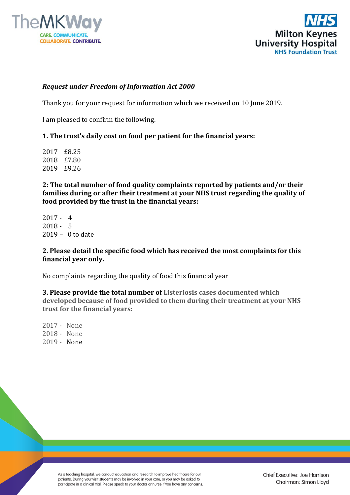



## *Request under Freedom of Information Act 2000*

Thank you for your request for information which we received on 10 June 2019.

I am pleased to confirm the following.

## **1. The trust's daily cost on food per patient for the financial years:**

2017 £8.25 2018 £7.80 2019 £9.26

**2: The total number of food quality complaints reported by patients and/or their families during or after their treatment at your NHS trust regarding the quality of food provided by the trust in the financial years:**

2017 - 4 2018 - 5 2019 – 0 to date

## **2. Please detail the specific food which has received the most complaints for this financial year only.**

No complaints regarding the quality of food this financial year

**3. Please provide the total number of Listeriosis cases documented which developed because of food provided to them during their treatment at your NHS trust for the financial years:**

2017 - None 2018 - None 2019 - None

> As a teaching hospital, we conduct education and research to improve healthcare for our patients. During your visit students may be involved in your care, or you may be asked to participate in a clinical trial. Please speak to your doctor or nurse if you have any concerns.